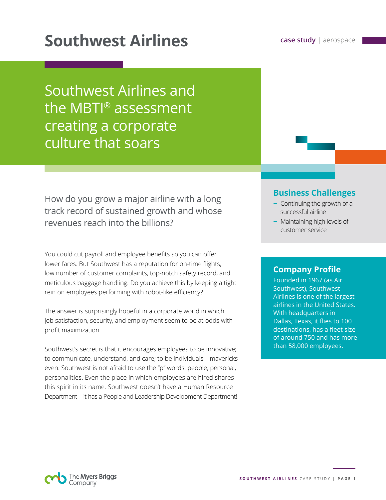# **Southwest Airlines case study** | aerospace

Southwest Airlines and the MBTI® assessment creating a corporate culture that soars

How do you grow a major airline with a long track record of sustained growth and whose revenues reach into the billions?

You could cut payroll and employee benefits so you can offer lower fares. But Southwest has a reputation for on-time flights, low number of customer complaints, top-notch safety record, and meticulous baggage handling. Do you achieve this by keeping a tight rein on employees performing with robot-like efficiency?

The answer is surprisingly hopeful in a corporate world in which job satisfaction, security, and employment seem to be at odds with profit maximization.

Southwest's secret is that it encourages employees to be innovative; to communicate, understand, and care; to be individuals—mavericks even. Southwest is not afraid to use the "p" words: people, personal, personalities. Even the place in which employees are hired shares this spirit in its name. Southwest doesn't have a Human Resource Department—it has a People and Leadership Development Department!

#### **Business Challenges**

- **-** Continuing the growth of a successful airline
- **-** Maintaining high levels of customer service

#### **Company Profile**

Founded in 1967 (as Air Southwest), Southwest Airlines is one of the largest airlines in the United States. With headquarters in Dallas, Texas, it flies to 100 destinations, has a fleet size of around 750 and has more than 58,000 employees.

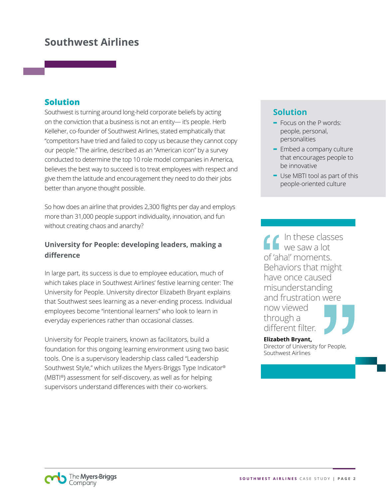## **Southwest Airlines**

#### **Solution**

Southwest is turning around long-held corporate beliefs by acting on the conviction that a business is not an entity— it's people. Herb Kelleher, co-founder of Southwest Airlines, stated emphatically that "competitors have tried and failed to copy us because they cannot copy our people." The airline, described as an "American icon" by a survey conducted to determine the top 10 role model companies in America, believes the best way to succeed is to treat employees with respect and give them the latitude and encouragement they need to do their jobs better than anyone thought possible.

So how does an airline that provides 2,300 flights per day and employs more than 31,000 people support individuality, innovation, and fun without creating chaos and anarchy?

#### **University for People: developing leaders, making a difference**

In large part, its success is due to employee education, much of which takes place in Southwest Airlines' festive learning center: The University for People. University director Elizabeth Bryant explains that Southwest sees learning as a never-ending process. Individual employees become "intentional learners" who look to learn in everyday experiences rather than occasional classes.

University for People trainers, known as facilitators, build a foundation for this ongoing learning environment using two basic tools. One is a supervisory leadership class called "Leadership Southwest Style," which utilizes the Myers-Briggs Type Indicator® (MBTI®) assessment for self-discovery, as well as for helping supervisors understand differences with their co-workers.

### **Solution**

- **-** Focus on the P words: people, personal, personalities
- **-** Embed a company culture that encourages people to be innovative
- **-** Use MBTI tool as part of this people-oriented culture

In these classes we saw a lot of 'aha!' moments. Behaviors that might have once caused misunderstanding and frustration were now viewed through a different filter.

**Elizabeth Bryant,**  Director of University for People, Southwest Airlines

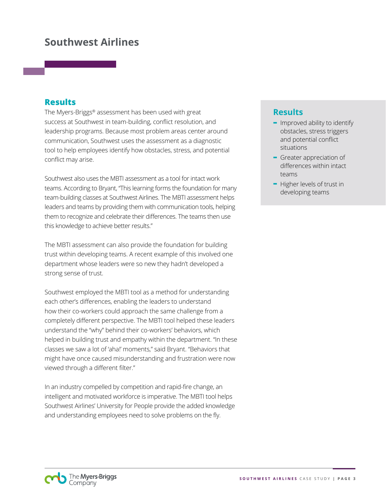## **Southwest Airlines**

#### **Results**

The Myers-Briggs® assessment has been used with great success at Southwest in team-building, conflict resolution, and leadership programs. Because most problem areas center around communication, Southwest uses the assessment as a diagnostic tool to help employees identify how obstacles, stress, and potential conflict may arise.

Southwest also uses the MBTI assessment as a tool for intact work teams. According to Bryant, "This learning forms the foundation for many team-building classes at Southwest Airlines. The MBTI assessment helps leaders and teams by providing them with communication tools, helping them to recognize and celebrate their differences. The teams then use this knowledge to achieve better results."

The MBTI assessment can also provide the foundation for building trust within developing teams. A recent example of this involved one department whose leaders were so new they hadn't developed a strong sense of trust.

Southwest employed the MBTI tool as a method for understanding each other's differences, enabling the leaders to understand how their co-workers could approach the same challenge from a completely different perspective. The MBTI tool helped these leaders understand the "why" behind their co-workers' behaviors, which helped in building trust and empathy within the department. "In these classes we saw a lot of 'aha!' moments," said Bryant. "Behaviors that might have once caused misunderstanding and frustration were now viewed through a different filter."

In an industry compelled by competition and rapid-fire change, an intelligent and motivated workforce is imperative. The MBTI tool helps Southwest Airlines' University for People provide the added knowledge and understanding employees need to solve problems on the fly.

#### **Results**

- **-** Improved ability to identify obstacles, stress triggers and potential conflict situations
- **-** Greater appreciation of differences within intact teams
- **-** Higher levels of trust in developing teams